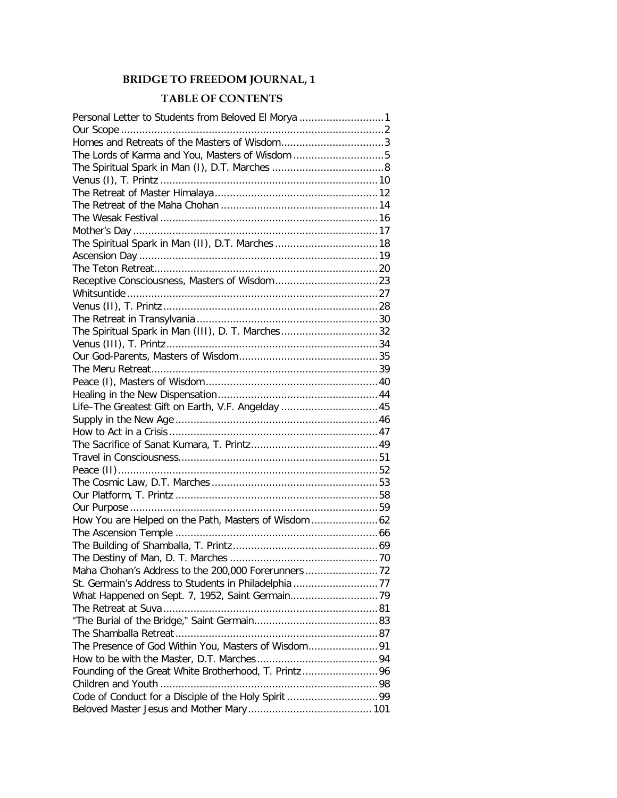## **BRIDGE TO FREEDOM JOURNAL, 1**

## **TABLE OF CONTENTS**

| Personal Letter to Students from Beloved El Morya 1  |  |
|------------------------------------------------------|--|
|                                                      |  |
| Homes and Retreats of the Masters of Wisdom3         |  |
| The Lords of Karma and You, Masters of Wisdom 5      |  |
|                                                      |  |
|                                                      |  |
|                                                      |  |
|                                                      |  |
|                                                      |  |
|                                                      |  |
|                                                      |  |
|                                                      |  |
|                                                      |  |
|                                                      |  |
|                                                      |  |
|                                                      |  |
|                                                      |  |
| The Spiritual Spark in Man (III), D. T. Marches32    |  |
|                                                      |  |
|                                                      |  |
|                                                      |  |
|                                                      |  |
|                                                      |  |
| Life-The Greatest Gift on Earth, V.F. Angelday  45   |  |
|                                                      |  |
|                                                      |  |
|                                                      |  |
|                                                      |  |
|                                                      |  |
|                                                      |  |
|                                                      |  |
|                                                      |  |
|                                                      |  |
|                                                      |  |
|                                                      |  |
|                                                      |  |
|                                                      |  |
|                                                      |  |
|                                                      |  |
|                                                      |  |
|                                                      |  |
|                                                      |  |
|                                                      |  |
|                                                      |  |
| Founding of the Great White Brotherhood, T. Printz96 |  |
|                                                      |  |
|                                                      |  |
|                                                      |  |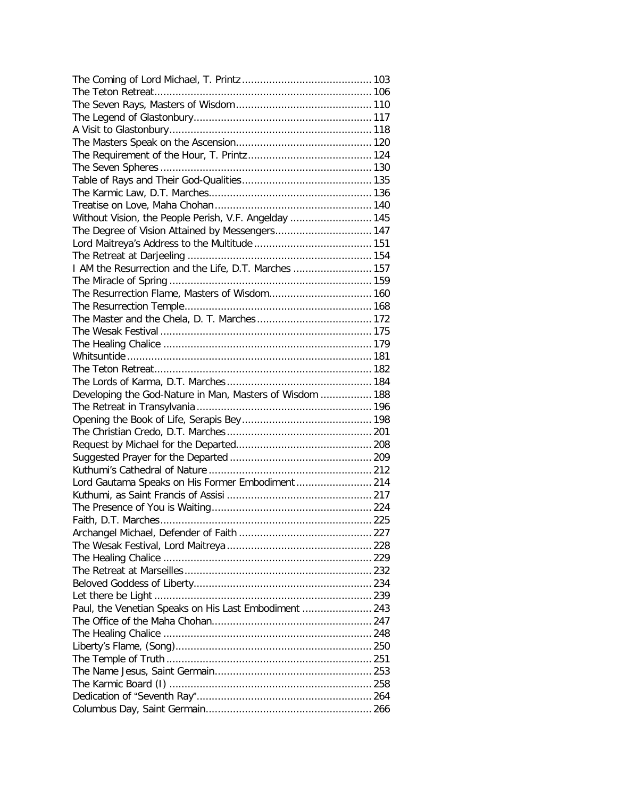| Without Vision, the People Perish, V.F. Angelday  145    |  |
|----------------------------------------------------------|--|
| The Degree of Vision Attained by Messengers 147          |  |
|                                                          |  |
|                                                          |  |
| I AM the Resurrection and the Life, D.T. Marches  157    |  |
|                                                          |  |
| The Resurrection Flame, Masters of Wisdom 160            |  |
|                                                          |  |
|                                                          |  |
|                                                          |  |
|                                                          |  |
|                                                          |  |
|                                                          |  |
|                                                          |  |
| Developing the God-Nature in Man, Masters of Wisdom  188 |  |
|                                                          |  |
|                                                          |  |
|                                                          |  |
|                                                          |  |
|                                                          |  |
|                                                          |  |
| Lord Gautama Speaks on His Former Embodiment  214        |  |
|                                                          |  |
|                                                          |  |
|                                                          |  |
|                                                          |  |
|                                                          |  |
|                                                          |  |
|                                                          |  |
|                                                          |  |
|                                                          |  |
| Paul, the Venetian Speaks on His Last Embodiment  243    |  |
|                                                          |  |
|                                                          |  |
|                                                          |  |
|                                                          |  |
|                                                          |  |
|                                                          |  |
|                                                          |  |
|                                                          |  |